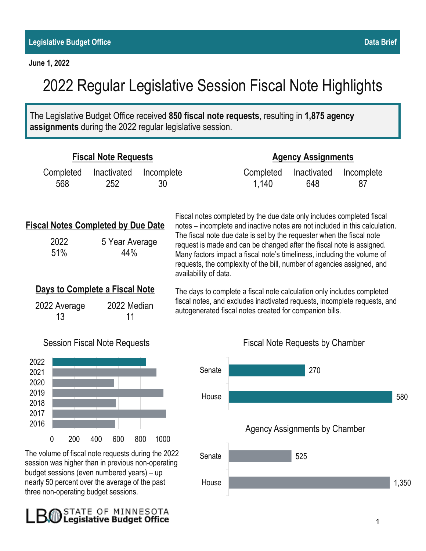**June 1, 2022**

B.O

The Legislative Budget Office received **850 fiscal note requests**, resulting in **1,875 agency assignments** during the 2022 regular legislative session.

| <b>Fiscal Note Requests</b>                                                                                                                           |                                        |                                                                                                                                                                                                                                                                                                                                                                                                                                                                                      | <b>Agency Assignments</b> |                                      |                  |     |
|-------------------------------------------------------------------------------------------------------------------------------------------------------|----------------------------------------|--------------------------------------------------------------------------------------------------------------------------------------------------------------------------------------------------------------------------------------------------------------------------------------------------------------------------------------------------------------------------------------------------------------------------------------------------------------------------------------|---------------------------|--------------------------------------|------------------|-----|
| Completed<br>Inactivated<br>568<br>252                                                                                                                | Incomplete<br>30                       |                                                                                                                                                                                                                                                                                                                                                                                                                                                                                      | Completed<br>1,140        | Inactivated<br>648                   | Incomplete<br>87 |     |
| <b>Fiscal Notes Completed by Due Date</b><br>2022<br>5 Year Average<br>51%<br>44%                                                                     |                                        | Fiscal notes completed by the due date only includes completed fiscal<br>notes – incomplete and inactive notes are not included in this calculation.<br>The fiscal note due date is set by the requester when the fiscal note<br>request is made and can be changed after the fiscal note is assigned.<br>Many factors impact a fiscal note's timeliness, including the volume of<br>requests, the complexity of the bill, number of agencies assigned, and<br>availability of data. |                           |                                      |                  |     |
| Days to Complete a Fiscal Note<br>2022 Median<br>2022 Average<br>13<br>11                                                                             |                                        | The days to complete a fiscal note calculation only includes completed<br>fiscal notes, and excludes inactivated requests, incomplete requests, and<br>autogenerated fiscal notes created for companion bills.                                                                                                                                                                                                                                                                       |                           |                                      |                  |     |
| <b>Session Fiscal Note Requests</b>                                                                                                                   | <b>Fiscal Note Requests by Chamber</b> |                                                                                                                                                                                                                                                                                                                                                                                                                                                                                      |                           |                                      |                  |     |
| 2022<br>2021<br>2020                                                                                                                                  |                                        | Senate                                                                                                                                                                                                                                                                                                                                                                                                                                                                               |                           | 270                                  |                  |     |
| 2019<br>2018<br>2017                                                                                                                                  |                                        | House                                                                                                                                                                                                                                                                                                                                                                                                                                                                                |                           |                                      |                  | 580 |
| 2016<br>$\mathbf 0$<br>400<br>200                                                                                                                     | 600<br>800<br>1000                     |                                                                                                                                                                                                                                                                                                                                                                                                                                                                                      |                           | <b>Agency Assignments by Chamber</b> |                  |     |
| The volume of fiscal note requests during the 2022<br>session was higher than in previous non-operating<br>budget sessions (even numbered years) - up | Senate                                 |                                                                                                                                                                                                                                                                                                                                                                                                                                                                                      | 525                       |                                      |                  |     |
| nearly 50 percent over the average of the past<br>three non-operating budget sessions.                                                                | House                                  |                                                                                                                                                                                                                                                                                                                                                                                                                                                                                      |                           |                                      | 1,350            |     |